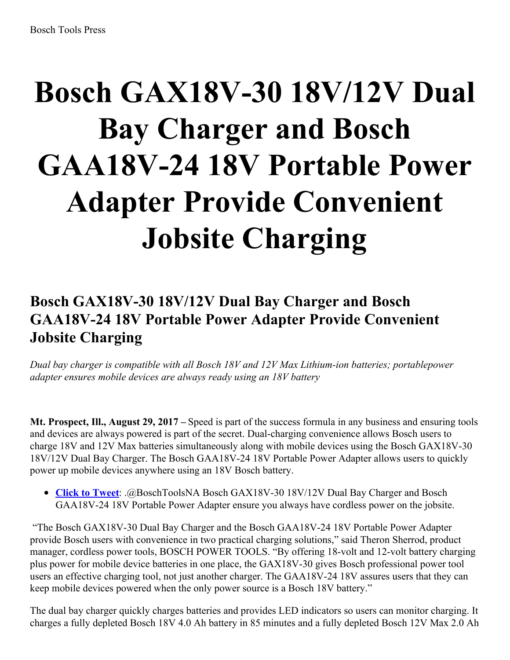# **Bosch GAX18V-30 18V/12V Dual Bay Charger and Bosch GAA18V-24 18V Portable Power Adapter Provide Convenient Jobsite Charging**

## **Bosch GAX18V-30 18V/12V Dual Bay Charger and Bosch GAA18V-24 18V Portable Power Adapter Provide Convenient Jobsite Charging**

*Dual bay charger is compatible with all Bosch 18V and 12V Max Lithium-ion batteries; portablepower adapter ensures mobile devices are always ready using an 18V battery*

**Mt. Prospect, Ill., August 29, 2017 –** Speed is part of the success formula in any business and ensuring tools and devices are always powered is part of the secret. Dual-charging convenience allows Bosch users to charge 18V and 12V Max batteries simultaneously along with mobile devices using the Bosch GAX18V-30 18V/12V Dual Bay Charger. The Bosch GAA18V-24 18V Portable Power Adapter allows users to quickly power up mobile devices anywhere using an 18V Bosch battery.

**Click to [Tweet](https://ctt.ec/aF1jx)**: .@BoschToolsNA Bosch GAX18V-30 18V/12V Dual Bay Charger and Bosch GAA18V-24 18V Portable Power Adapter ensure you always have cordless power on the jobsite.

"The Bosch GAX18V-30 Dual Bay Charger and the Bosch GAA18V-24 18V Portable Power Adapter provide Bosch users with convenience in two practical charging solutions," said Theron Sherrod, product manager, cordless power tools, BOSCH POWER TOOLS. "By offering 18-volt and 12-volt battery charging plus power for mobile device batteries in one place, the GAX18V-30 gives Bosch professional power tool users an effective charging tool, not just another charger. The GAA18V-24 18V assures users that they can keep mobile devices powered when the only power source is a Bosch 18V battery."

The dual bay charger quickly charges batteries and provides LED indicators so users can monitor charging. It charges a fully depleted Bosch 18V 4.0 Ah battery in 85 minutes and a fully depleted Bosch 12V Max 2.0 Ah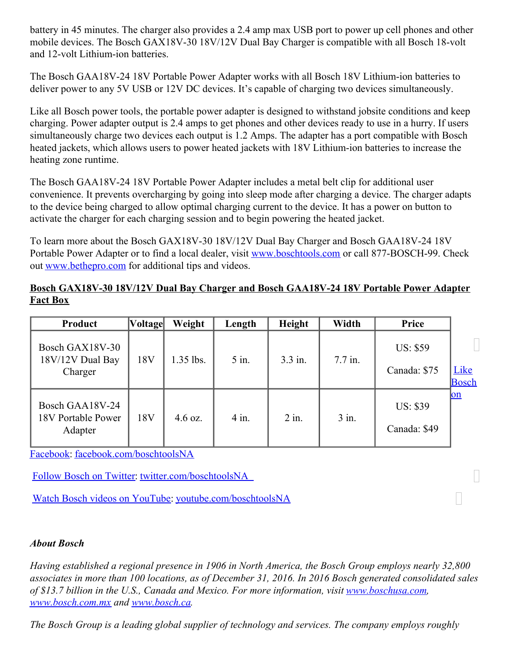battery in 45 minutes. The charger also provides a 2.4 amp max USB port to power up cell phones and other mobile devices. The Bosch GAX18V-30 18V/12V Dual Bay Charger is compatible with all Bosch 18-volt and 12-volt Lithium-ion batteries.

The Bosch GAA18V-24 18V Portable Power Adapter works with all Bosch 18V Lithium-ion batteries to deliver power to any 5V USB or 12V DC devices. It's capable of charging two devices simultaneously.

Like all Bosch power tools, the portable power adapter is designed to withstand jobsite conditions and keep charging. Power adapter output is 2.4 amps to get phones and other devices ready to use in a hurry. If users simultaneously charge two devices each output is 1.2 Amps. The adapter has a port compatible with Bosch heated jackets, which allows users to power heated jackets with 18V Lithium-ion batteries to increase the heating zone runtime.

The Bosch GAA18V-24 18V Portable Power Adapter includes a metal belt clip for additional user convenience. It prevents overcharging by going into sleep mode after charging a device. The charger adapts to the device being charged to allow optimal charging current to the device. It has a power on button to activate the charger for each charging session and to begin powering the heated jacket.

To learn more about the Bosch GAX18V-30 18V/12V Dual Bay Charger and Bosch GAA18V-24 18V Portable Power Adapter or to find a local dealer, visit [www.boschtools.com](http://www.boschtools.com/) or call 877-BOSCH-99. Check out [www.bethepro.com](http://www.bethepro.com/) for additional tips and videos.

#### **Bosch GAX18V-30 18V/12V Dual Bay Charger and Bosch GAA18V-24 18V Portable Power Adapter Fact Box**

| Product                                          | <b>Voltage</b>  | Weight            | Length  | Height  | Width     | Price                           |                      |
|--------------------------------------------------|-----------------|-------------------|---------|---------|-----------|---------------------------------|----------------------|
| Bosch GAX18V-30<br>18V/12V Dual Bay<br>Charger   | 18 <sub>V</sub> | $1.35$ lbs.       | $5$ in. | 3.3 in. | $7.7$ in. | <b>US: \$59</b><br>Canada: \$75 | <u>Like</u><br>Bosch |
| Bosch GAA18V-24<br>18V Portable Power<br>Adapter | 18V             | $4.6 \text{ oz.}$ | $4$ in. | $2$ in. | 3 in.     | <b>US: \$39</b><br>Canada: \$49 | on                   |

Facebook: [facebook.com/boschtoolsNA](file:///C:/Users/wis2mtp/AppData/Local/Microsoft/Windows/Temporary Internet Files/Content.IE5/1D6AC5D2/facebook.com/boschtoolsNA)

Follow Bosch on [Twitter](file:///C:/Users/wis2mtp/AppData/Local/Microsoft/Windows/Temporary Internet Files/Content.IE5/1D6AC5D2/twitter.com/boschtoolsNA): [twitter.com/boschtoolsNA](https://twitter.com/BoschToolsNA)

Watch Bosch videos on [YouTube](file:///C:/Users/wis2mtp/AppData/Local/Microsoft/Windows/Temporary Internet Files/Content.IE5/1D6AC5D2/youtube.com/user/boschtoolsNA): [youtube.com/boschtoolsNA](http://www.youtube.com/user/boschtoolsna)

### *About Bosch*

*Having established a regional presence in 1906 in North America, the Bosch Group employs nearly 32,800* associates in more than 100 locations, as of December 31, 2016. In 2016 Bosch generated consolidated sales *of \$13.7 billion in the U.S., Canada and Mexico. For more information, visit [www.boschusa.com](http://www.boschusa.com/), [www.bosch.com.mx](http://www.bosch.com.mx/) and [www.bosch.ca](http://www.bosch.ca/).*

П

*The Bosch Group is a leading global supplier of technology and services. The company employs roughly*